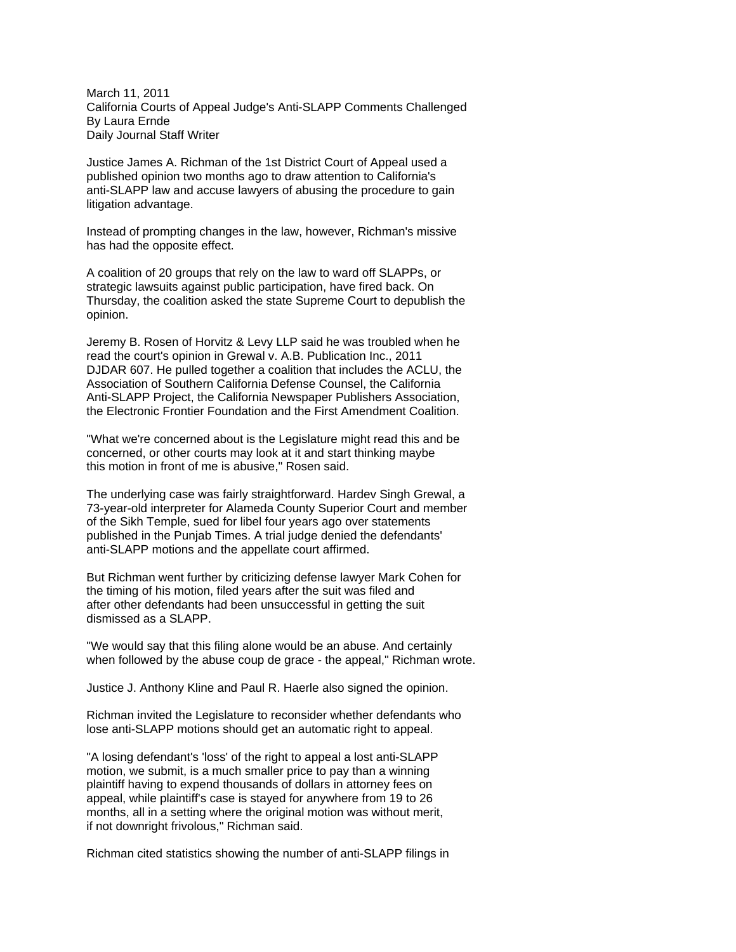March 11, 2011 California Courts of Appeal Judge's Anti-SLAPP Comments Challenged By Laura Ernde Daily Journal Staff Writer

Justice James A. Richman of the 1st District Court of Appeal used a published opinion two months ago to draw attention to California's anti-SLAPP law and accuse lawyers of abusing the procedure to gain litigation advantage.

Instead of prompting changes in the law, however, Richman's missive has had the opposite effect.

A coalition of 20 groups that rely on the law to ward off SLAPPs, or strategic lawsuits against public participation, have fired back. On Thursday, the coalition asked the state Supreme Court to depublish the opinion.

Jeremy B. Rosen of Horvitz & Levy LLP said he was troubled when he read the court's opinion in Grewal v. A.B. Publication Inc., 2011 DJDAR 607. He pulled together a coalition that includes the ACLU, the Association of Southern California Defense Counsel, the California Anti-SLAPP Project, the California Newspaper Publishers Association, the Electronic Frontier Foundation and the First Amendment Coalition.

"What we're concerned about is the Legislature might read this and be concerned, or other courts may look at it and start thinking maybe this motion in front of me is abusive," Rosen said.

The underlying case was fairly straightforward. Hardev Singh Grewal, a 73-year-old interpreter for Alameda County Superior Court and member of the Sikh Temple, sued for libel four years ago over statements published in the Punjab Times. A trial judge denied the defendants' anti-SLAPP motions and the appellate court affirmed.

But Richman went further by criticizing defense lawyer Mark Cohen for the timing of his motion, filed years after the suit was filed and after other defendants had been unsuccessful in getting the suit dismissed as a SLAPP.

"We would say that this filing alone would be an abuse. And certainly when followed by the abuse coup de grace - the appeal," Richman wrote.

Justice J. Anthony Kline and Paul R. Haerle also signed the opinion.

Richman invited the Legislature to reconsider whether defendants who lose anti-SLAPP motions should get an automatic right to appeal.

"A losing defendant's 'loss' of the right to appeal a lost anti-SLAPP motion, we submit, is a much smaller price to pay than a winning plaintiff having to expend thousands of dollars in attorney fees on appeal, while plaintiff's case is stayed for anywhere from 19 to 26 months, all in a setting where the original motion was without merit, if not downright frivolous," Richman said.

Richman cited statistics showing the number of anti-SLAPP filings in